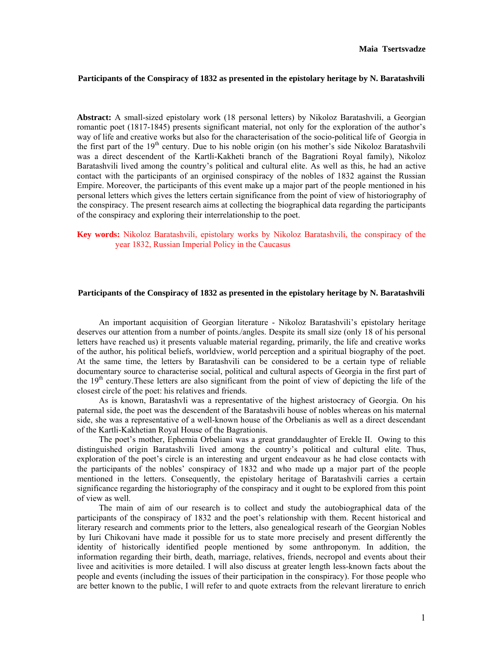## **Participants of the Conspiracy of 1832 as presented in the epistolary heritage by N. Baratashvili**

**Abstract:** A small-sized epistolary work (18 personal letters) by Nikoloz Baratashvili, a Georgian romantic poet (1817-1845) presents significant material, not only for the exploration of the author's way of life and creative works but also for the characterisation of the socio-political life of Georgia in the first part of the 19<sup>th</sup> century. Due to his noble origin (on his mother's side Nikoloz Baratashvili was a direct descendent of the Kartli-Kakheti branch of the Bagrationi Royal family), Nikoloz Baratashvili lived among the country's political and cultural elite. As well as this, he had an active contact with the participants of an orginised conspiracy of the nobles of 1832 against the Russian Empire. Moreover, the participants of this event make up a major part of the people mentioned in his personal letters which gives the letters certain significance from the point of view of historiography of the conspiracy. The present research aims at collecting the biographical data regarding the participants of the conspiracy and exploring their interrelationship to the poet.

## **Key words:** Nikoloz Baratashvili, epistolary works by Nikoloz Baratashvili, the conspiracy of the year 1832, Russian Imperial Policy in the Caucasus

## **Participants of the Conspiracy of 1832 as presented in the epistolary heritage by N. Baratashvili**

An important acquisition of Georgian literature - Nikoloz Baratashvili's epistolary heritage deserves our attention from a number of points./angles. Despite its small size (only 18 of his personal letters have reached us) it presents valuable material regarding, primarily, the life and creative works of the author, his political beliefs, worldview, world perception and a spiritual biography of the poet. At the same time, the letters by Baratashvili can be considered to be a certain type of reliable documentary source to characterise social, political and cultural aspects of Georgia in the first part of the 19th century.These letters are also significant from the point of view of depicting the life of the closest circle of the poet: his relatives and friends.

As is known, Baratashvli was a representative of the highest aristocracy of Georgia. On his paternal side, the poet was the descendent of the Baratashvili house of nobles whereas on his maternal side, she was a representative of a well-known house of the Orbelianis as well as a direct descendant of the Kartli-Kakhetian Royal House of the Bagrationis.

The poet's mother, Ephemia Orbeliani was a great granddaughter of Erekle II. Owing to this distinguished origin Baratashvili lived among the country's political and cultural elite. Thus, exploration of the poet's circle is an interesting and urgent endeavour as he had close contacts with the participants of the nobles' conspiracy of 1832 and who made up a major part of the people mentioned in the letters. Consequently, the epistolary heritage of Baratashvili carries a certain significance regarding the historiography of the conspiracy and it ought to be explored from this point of view as well.

The main of aim of our research is to collect and study the autobiographical data of the participants of the conspiracy of 1832 and the poet's relationship with them. Recent historical and literary research and comments prior to the letters, also genealogical researh of the Georgian Nobles by Iuri Chikovani have made it possible for us to state more precisely and present differently the identity of historically identified people mentioned by some anthroponym. In addition, the information regarding their birth, death, marriage, relatives, friends, necropol and events about their livee and acitivities is more detailed. I will also discuss at greater length less-known facts about the people and events (including the issues of their participation in the conspiracy). For those people who are better known to the public, I will refer to and quote extracts from the relevant lirerature to enrich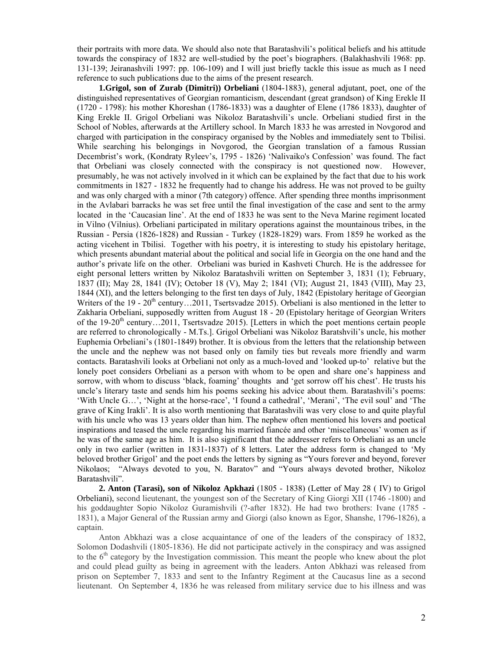their portraits with more data. We should also note that Baratashvili's political beliefs and his attitude towards the conspiracy of 1832 are well-studied by the poet's biographers. (Balakhashvili 1968: pp. 131-139; Jeiranashvili 1997: pp. 106-109) and I will just briefly tackle this issue as much as I need reference to such publications due to the aims of the present research.

**1.Grigol, son of Zurab (Dimitri)) Orbeliani** (1804-1883), general adjutant, poet, one of the distinguished representatives of Georgian romanticism, descendant (great grandson) of King Erekle II (1720 - 1798): his mother Khoreshan (1786-1833) was a daughter of Elene (1786 1833), daughter of King Erekle II. Grigol Orbeliani was Nikoloz Baratashvili's uncle. Orbeliani studied first in the School of Nobles, afterwards at the Artillery school. In March 1833 he was arrested in Novgorod and charged with participation in the conspiracy organised by the Nobles and immediately sent to Tbilisi. While searching his belongings in Novgorod, the Georgian translation of a famous Russian Decembrist's work, (Kondraty Ryleev's, 1795 - 1826) 'Nalivaiko's Confession' was found. The fact that Orbeliani was closely connected with the conspiracy is not questioned now. However, presumably, he was not actively involved in it which can be explained by the fact that due to his work commitments in 1827 - 1832 he frequently had to change his address. He was not proved to be guilty and was only charged with a minor (7th category) offence. After spending three months imprisonment in the Avlabari barracks he was set free until the final investigation of the case and sent to the army located in the 'Caucasian line'. At the end of 1833 he was sent to the Neva Marine regiment located in Vilno (Vilnius). Orbeliani participated in military operations against the mountainous tribes, in the Russian - Persia (1826-1828) and Russian - Turkey (1828-1829) wars. From 1859 he worked as the acting vicehent in Tbilisi. Together with his poetry, it is interesting to study his epistolary heritage, which presents abundant material about the political and social life in Georgia on the one hand and the author's private life on the other. Orbeliani was buried in Kashveti Church. He is the addressee for eight personal letters written by Nikoloz Baratashvili written on September 3, 1831 (1); February, 1837 (II); May 28, 1841 (IV); October 18 (V), May 2; 1841 (VI); August 21, 1843 (VIII), May 23, 1844 (XI), and the letters belonging to the first ten days of July, 1842 (Epistolary heritage of Georgian Writers of the 19 - 20<sup>th</sup> century…2011, Tsertsvadze 2015). Orbeliani is also mentioned in the letter to Zakharia Orbeliani, supposedly written from August 18 - 20 (Epistolary heritage of Georgian Writers of the 19-20<sup>th</sup> century…2011, Tsertsvadze 2015). [Letters in which the poet mentions certain people are referred to chronologically - M.Ts.]. Grigol Orbeliani was Nikoloz Baratshvili's uncle, his mother Euphemia Orbeliani's (1801-1849) brother. It is obvious from the letters that the relationship between the uncle and the nephew was not based only on family ties but reveals more friendly and warm contacts. Baratashvili looks at Orbeliani not only as a much-loved and 'looked up-to' relative but the lonely poet considers Orbeliani as a person with whom to be open and share one's happiness and sorrow, with whom to discuss 'black, foaming' thoughts and 'get sorrow off his chest'. He trusts his uncle's literary taste and sends him his poems seeking his advice about them. Baratashvili's poems: 'With Uncle G…', 'Night at the horse-race', 'I found a cathedral', 'Merani', 'The evil soul' and 'The grave of King Irakli'. It is also worth mentioning that Baratashvili was very close to and quite playful with his uncle who was 13 years older than him. The nephew often mentioned his lovers and poetical inspirations and teased the uncle regarding his married fiancée and other 'miscellaneous' women as if he was of the same age as him. It is also significant that the addresser refers to Orbeliani as an uncle only in two earlier (written in 1831-1837) of 8 letters. Later the address form is changed to 'My beloved brother Grigol' and the poet ends the letters by signing as "Yours forever and beyond, forever Nikolaos; "Always devoted to you, N. Baratov" and "Yours always devoted brother, Nikoloz Baratashvili".

**2. Anton (Tarasi), son of Nikoloz Apkhazi** (1805 - 1838) (Letter of May 28 ( IV) to Grigol Orbeliani), second lieutenant, the youngest son of the Secretary of King Giorgi XII (1746 -1800) and his goddaughter Sopio Nikoloz Guramishvili (?-after 1832). He had two brothers: Ivane (1785 -1831), a Major General of the Russian army and Giorgi (also known as Egor, Shanshe, 1796-1826), a captain.

Anton Abkhazi was a close acquaintance of one of the leaders of the conspiracy of 1832, Solomon Dodashvili (1805-1836). He did not participate actively in the conspiracy and was assigned to the  $6<sup>th</sup>$  category by the Investigation commission. This meant the people who knew about the plot and could plead guilty as being in agreement with the leaders. Anton Abkhazi was released from prison on September 7, 1833 and sent to the Infantry Regiment at the Caucasus line as a second lieutenant. On September 4, 1836 he was released from military service due to his illness and was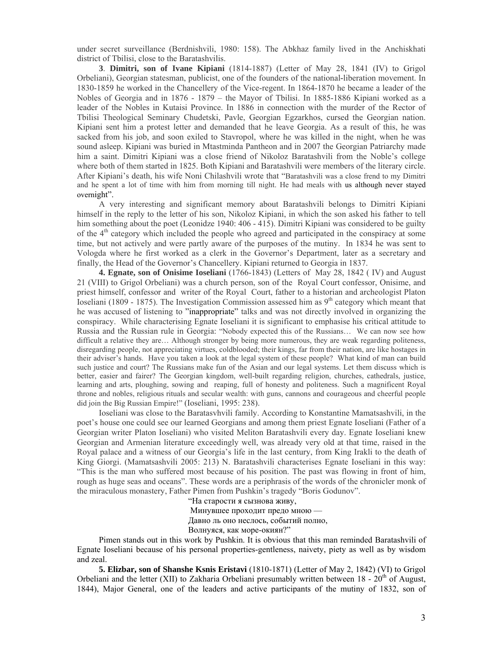under secret surveillance (Berdnishvili, 1980: 158). The Abkhaz family lived in the Anchiskhati district of Tbilisi, close to the Baratashvilis.

**3**. **Dimitri, son of Ivane Kipiani** (1814-1887) (Letter of May 28, 1841 (IV) to Grigol Orbeliani), Georgian statesman, publicist, one of the founders of the national**-**liberation movement. In 1830-1859 he worked in the Chancellery of the Vice-regent. In 1864-1870 he became a leader of the Nobles of Georgia and in 1876 - 1879 – the Mayor of Tbilisi. In 1885-1886 Kipiani worked as a leader of the Nobles in Kutaisi Province. In 1886 in connection with the murder of the Rector of Tbilisi Theological Seminary Chudetski, Pavle, Georgian Egzarkhos, cursed the Georgian nation. Kipiani sent him a protest letter and demanded that he leave Georgia. As a result of this, he was sacked from his job, and soon exiled to Stavropol, where he was killed in the night, when he was sound asleep. Kipiani was buried in Mtastminda Pantheon and in 2007 the Georgian Patriarchy made him a saint. Dimitri Kipiani was a close friend of Nikoloz Baratashvili from the Noble's college where both of them started in 1825. Both Kipiani and Baratashvili were members of the literary circle. After Kipiani's death, his wife Noni Chilashvili wrote that "Baratashvili was a close frend to my Dimitri and he spent a lot of time with him from morning till night. He had meals with us although never stayed overnight".

A very interesting and significant memory about Baratashvili belongs to Dimitri Kipiani himself in the reply to the letter of his son, Nikoloz Kipiani, in which the son asked his father to tell him something about the poet (Leonidze 1940: 406 - 415). Dimitri Kipiani was considered to be guilty of the 4th category which included the people who agreed and participated in the conspiracy at some time, but not actively and were partly aware of the purposes of the mutiny. In 1834 he was sent to Vologda where he first worked as a clerk in the Governor's Department, later as a secretary and finally, the Head of the Governor's Chancellery. Kipiani returned to Georgia in 1837.

**4. Egnate, son of Onisime Ioseliani** (1766-1843) (Letters of May 28, 1842 ( IV) and August 21 (VIII) to Grigol Orbeliani) was a church person, son of the Royal Court confessor, Onisime, and priest himself, confessor and writer of the Royal Court, father to a historian and archeologist Platon Ioseliani (1809 - 1875). The Investigation Commission assessed him as  $9<sup>th</sup>$  category which meant that he was accused of listening to "inappropriate" talks and was not directly involved in organizing the conspiracy. While characterising Egnate Ioseliani it is significant to emphasise his critical attitude to Russia and the Russian rule in Georgia: "Nobody expected this of the Russians… We can now see how difficult a relative they are… Although stronger by being more numerous, they are weak regarding politeness, disregarding people, not appreciating virtues, coldblooded; their kings, far from their nation, are like hostages in their adviser's hands. Have you taken a look at the legal system of these people? What kind of man can build such justice and court? The Russians make fun of the Asian and our legal systems. Let them discuss which is better, easier and fairer? The Georgian kingdom, well-built regarding religion, churches, cathedrals, justice, learning and arts, ploughing, sowing and reaping, full of honesty and politeness. Such a magnificent Royal throne and nobles, religious rituals and secular wealth: with guns, cannons and courageous and cheerful people did join the Big Russian Empire!" (Ioseliani, 1995: 238).

Ioseliani was close to the Baratasvhvili family. According to Konstantine Mamatsashvili, in the poet's house one could see our learned Georgians and among them priest Egnate Ioseliani (Father of a Georgian writer Platon Ioseliani) who visited Meliton Baratashvili every day. Egnate Ioseliani knew Georgian and Armenian literature exceedingly well, was already very old at that time, raised in the Royal palace and a witness of our Georgia's life in the last century, from King Irakli to the death of King Giorgi. (Mamatsashvili 2005: 213) N. Baratashvili characterises Egnate Ioseliani in this way: "This is the man who suffered most because of his position. The past was flowing in front of him, rough as huge seas and oceans". These words are a periphrasis of the words of the chronicler monk of the miraculous monastery, Father Pimen from Pushkin's tragedy "Boris Godunov".

"На старости я сызнова живу, Минувшее проходит предо мною — Давно ль оно неслось, событий полно, Волнуяся, как море-окиян?"

Pimen stands out in this work by Pushkin. It is obvious that this man reminded Baratashvili of Egnate Ioseliani because of his personal properties-gentleness, naivety, piety as well as by wisdom and zeal.

**5. Elizbar, son of Shanshe Ksnis Eristavi** (1810-1871) (Letter of May 2, 1842) (VI) to Grigol Orbeliani and the letter (XII) to Zakharia Orbeliani presumably written between  $18 - 20<sup>th</sup>$  of August, 1844), Major General, one of the leaders and active participants of the mutiny of 1832, son of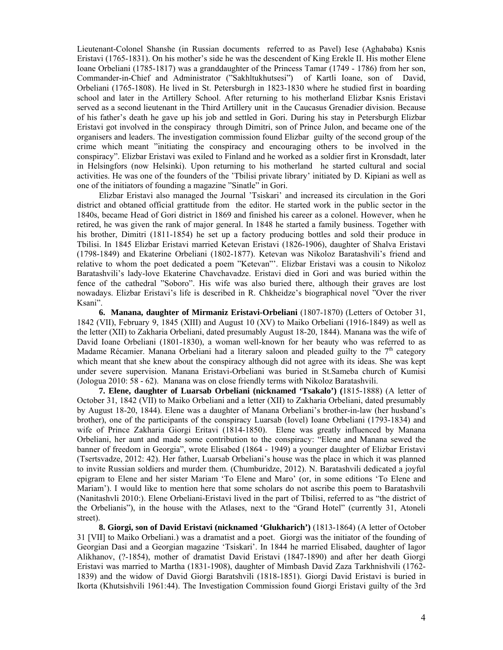Lieutenant-Colonel Shanshe (in Russian documents referred to as Pavel) Iese (Aghababa) Ksnis Eristavi (1765-1831). On his mother's side he was the descendent of King Erekle II. His mother Elene Ioane Orbeliani (1785-1817) was a granddaughter of the Princess Tamar (1749 - 1786) from her son, Commander-in-Chief and Administrator ("Sakhltukhutsesi") of Kartli Ioane, son of David, Orbeliani (1765-1808). He lived in St. Petersburgh in 1823-1830 where he studied first in boarding school and later in the Artillery School. After returning to his motherland Elizbar Ksnis Eristavi served as a second lieutenant in the Third Artillery unit in the Caucasus Grenadier division. Because of his father's death he gave up his job and settled in Gori. During his stay in Petersburgh Elizbar Eristavi got involved in the conspiracy through Dimitri, son of Prince Julon, and became one of the organisers and leaders. The investigation commission found Elizbar guilty of the second group of the crime which meant "initiating the conspiracy and encouraging others to be involved in the conspiracy". Elizbar Eristavi was exiled to Finland and he worked as a soldier first in Kronsdadt, later in Helsingfors (now Helsinki). Upon returning to his motherland he started cultural and social activities. He was one of the founders of the 'Tbilisi private library' initiated by D. Kipiani as well as one of the initiators of founding a magazine "Sinatle" in Gori.

Elizbar Eristavi also managed the Journal 'Tsiskari' and increased its circulation in the Gori district and obtaned official grattitude from the editor. He started work in the public sector in the 1840s, became Head of Gori district in 1869 and finished his career as a colonel. However, when he retired, he was given the rank of major general. In 1848 he started a family business. Together with his brother, Dimitri (1811-1854) he set up a factory producing bottles and sold their produce in Tbilisi. In 1845 Elizbar Eristavi married Ketevan Eristavi (1826-1906), daughter of Shalva Eristavi (1798-1849) and Ekaterine Orbeliani (1802-1877). Ketevan was Nikoloz Baratashvili's friend and relative to whom the poet dedicated a poem "Ketevan"'. Elizbar Eristavi was a cousin to Nikoloz Baratashvili's lady-love Ekaterine Chavchavadze. Eristavi died in Gori and was buried within the fence of the cathedral "Soboro". His wife was also buried there, although their graves are lost nowadays. Elizbar Eristavi's life is described in R. Chkheidze's biographical novel "Over the river Ksani".

**6. Manana, daughter of Mirmaniz Eristavi-Orbeliani** (1807-1870) (Letters of October 31, 1842 (VII), February 9, 1845 (XIII) and August 10 (XV) to Maiko Orbeliani (1916-1849) as well as the letter (XII) to Zakharia Orbeliani, dated presumably August 18-20, 1844). Manana was the wife of David Ioane Orbeliani (1801-1830), a woman well-known for her beauty who was referred to as Madame Récamier. Manana Orbeliani had a literary saloon and pleaded guilty to the  $7<sup>th</sup>$  category which meant that she knew about the conspiracy although did not agree with its ideas. She was kept under severe supervision. Manana Eristavi-Orbeliani was buried in St.Sameba church of Kumisi (Jologua 2010: 58 - 62). Manana was on close friendly terms with Nikoloz Baratashvili.

**7. Elene, daughter of Luarsab Orbeliani (nicknamed 'Tsakalo') (**1815-1888) (A letter of October 31, 1842 (VII) to Maiko Orbeliani and a letter (XII) to Zakharia Orbeliani, dated presumably by August 18-20, 1844). Elene was a daughter of Manana Orbeliani's brother-in-law (her husband's brother), one of the participants of the conspiracy Luarsab (Iovel) Ioane Orbeliani (1793-1834) and wife of Prince Zakharia Giorgi Eritavi (1814-1850). Elene was greatly influenced by Manana Orbeliani, her aunt and made some contribution to the conspiracy: "Elene and Manana sewed the banner of freedom in Georgia", wrote Elisabed (1864 - 1949) a younger daughter of Elizbar Eristavi (Tsertsvadze, 2012: 42). Her father, Luarsab Orbeliani's house was the place in which it was planned to invite Russian soldiers and murder them. (Chumburidze, 2012). N. Baratashvili dedicated a joyful epigram to Elene and her sister Mariam 'To Elene and Maro' (or, in some editions 'To Elene and Mariam'). I would like to mention here that some scholars do not ascribe this poem to Baratashvili (Nanitashvli 2010:). Elene Orbeliani-Eristavi lived in the part of Tbilisi, referred to as "the district of the Orbelianis"), in the house with the Atlases, next to the "Grand Hotel" (currently 31, Atoneli street).

**8. Giorgi, son of David Eristavi (nicknamed 'Glukharich')** (1813-1864) (A letter of October 31 [VII] to Maiko Orbeliani.) was a dramatist and a poet. Giorgi was the initiator of the founding of Georgian Dasi and a Georgian magazine 'Tsiskari'. In 1844 he married Elisabed, daughter of Iagor Alikhanov, (?-1854), mother of dramatist David Eristavi (1847-1890) and after her death Giorgi Eristavi was married to Martha (1831-1908), daughter of Mimbash David Zaza Tarkhnishvili (1762- 1839) and the widow of David Giorgi Baratshvili (1818-1851). Giorgi David Eristavi is buried in Ikorta (Khutsishvili 1961:44). The Investigation Commission found Giorgi Eristavi guilty of the 3rd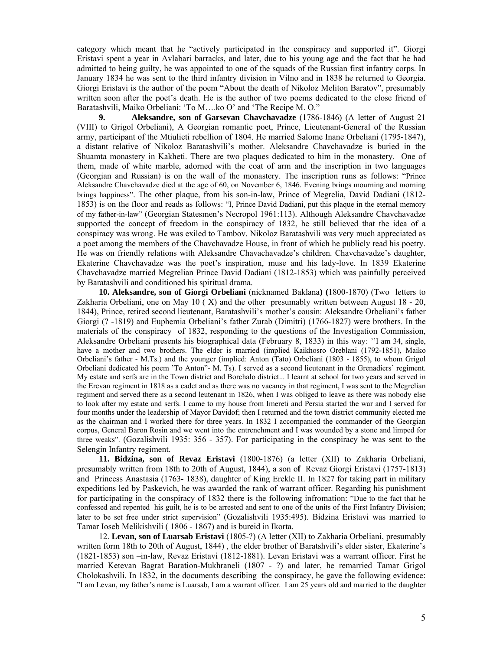category which meant that he "actively participated in the conspiracy and supported it". Giorgi Eristavi spent a year in Avlabari barracks, and later, due to his young age and the fact that he had admitted to being guilty, he was appointed to one of the squads of the Russian first infantry corps. In January 1834 he was sent to the third infantry division in Vilno and in 1838 he returned to Georgia. Giorgi Eristavi is the author of the poem "About the death of Nikoloz Meliton Baratov", presumably written soon after the poet's death. He is the author of two poems dedicated to the close friend of Baratashvili, Maiko Orbeliani: 'To M….ko O' and 'The Recipe M. O."

**9. Aleksandre, son of Garsevan Chavchavadze** (1786-1846) (A letter of August 21 (VIII) to Grigol Orbeliani), A Georgian romantic poet, Prince, Lieutenant-General of the Russian army, participant of the Mtiulieti rebellion of 1804. He married Salome Inane Orbeliani (1795-1847), a distant relative of Nikoloz Baratashvili's mother. Aleksandre Chavchavadze is buried in the Shuamta monastery in Kakheti. There are two plaques dedicated to him in the monastery. One of them, made of white marble, adorned with the coat of arm and the inscription in two languages (Georgian and Russian) is on the wall of the monastery. The inscription runs as follows: "Prince Aleksandre Chavchavadze died at the age of 60, on November 6, 1846. Evening brings mourning and morning brings happiness". The other plaque, from his son-in-law, Prince of Megrelia, David Dadiani (1812- 1853) is on the floor and reads as follows: "I, Prince David Dadiani, put this plaque in the eternal memory of my father-in-law" (Georgian Statesmen's Necropol 1961:113). Although Aleksandre Chavchavadze supported the concept of freedom in the conspiracy of 1832, he still believed that the idea of a conspiracy was wrong. He was exiled to Tambov. Nikoloz Baratashvili was very much appreciated as a poet among the members of the Chavchavadze House, in front of which he publicly read his poetry. He was on friendly relations with Aleksandre Chavachavadze's children. Chavchavadze's daughter, Ekaterine Chavchavadze was the poet's inspiration, muse and his lady-love. In 1839 Ekaterine Chavchavadze married Megrelian Prince David Dadiani (1812-1853) which was painfully perceived by Baratashvili and conditioned his spiritual drama.

**10. Aleksandre, son of Giorgi Orbeliani** (nicknamed Baklana**) (**1800-1870) (Two letters to Zakharia Orbeliani, one on May 10 ( X) and the other presumably written between August 18 - 20, 1844), Prince, retired second lieutenant, Baratashvili's mother's cousin: Aleksandre Orbeliani's father Giorgi (? -1819) and Euphemia Orbeliani's father Zurab (Dimitri) (1766-1827) were brothers. In the materials of the conspiracy of 1832, responding to the questions of the Investigation Commission, Aleksandre Orbeliani presents his biographical data (February 8, 1833) in this way: ''I am 34, single, have a mother and two brothers. The elder is married (implied Kaikhosro Oreblani (1792-1851), Maiko Orbeliani's father - M.Ts.) and the younger (implied: Anton (Tato) Orbeliani (1803 - 1855), to whom Grigol Orbeliani dedicated his poem 'To Anton"- M. Ts). I served as a second lieutenant in the Grenadiers' regiment. My estate and serfs are in the Town district and Borchalo district... I learnt at school for two years and served in the Erevan regiment in 1818 as a cadet and as there was no vacancy in that regiment, I was sent to the Megrelian regiment and served there as a second leutenant in 1826, when I was obliged to leave as there was nobody else to look after my estate and serfs. I came to my house from Imereti and Persia started the war and I served for four months under the leadership of Mayor Davidof; then I returned and the town district community elected me as the chairman and I worked there for three years. In 1832 I accompanied the commander of the Georgian corpus, General Baron Rosin and we went into the entrenchment and I was wounded by a stone and limped for three weaks". (Gozalishvili 1935: 356 - 357). For participating in the conspiracy he was sent to the Selengin Infantry regiment.

**11. Bidzina, son of Revaz Eristavi** (1800-1876) (a letter (XII) to Zakharia Orbeliani, presumably written from 18th to 20th of August, 1844), a son o**f** Revaz Giorgi Eristavi (1757-1813) and Princess Anastasia (1763- 1838), daughter of King Erekle II. In 1827 for taking part in military expeditions led by Paskevich, he was awarded the rank of warrant officer. Regarding his punishment for participating in the conspiracy of 1832 there is the following infromation: "Due to the fact that he confessed and repented his guilt, he is to be arrested and sent to one of the units of the First Infantry Division; later to be set free under strict supervision" (Gozalishvili 1935:495). Bidzina Eristavi was married to Tamar Ioseb Melikishvili ( 1806 - 1867) and is bureid in Ikorta.

12. **Levan, son of Luarsab Eristavi** (1805-?) (A letter (XII) to Zakharia Orbeliani, presumably written form 18th to 20th of August, 1844) , the elder brother of Baratshvili's elder sister, Ekaterine's (1821-1853) son –in-law, Revaz Eristavi (1812-1881). Levan Eristavi was a warrant officer. First he married Ketevan Bagrat Baration-Mukhraneli (1807 - ?) and later, he remarried Tamar Grigol Cholokashvili. In 1832, in the documents describing the conspiracy, he gave the following evidence: "I am Levan, my father's name is Luarsab, I am a warrant officer. I am 25 years old and married to the daughter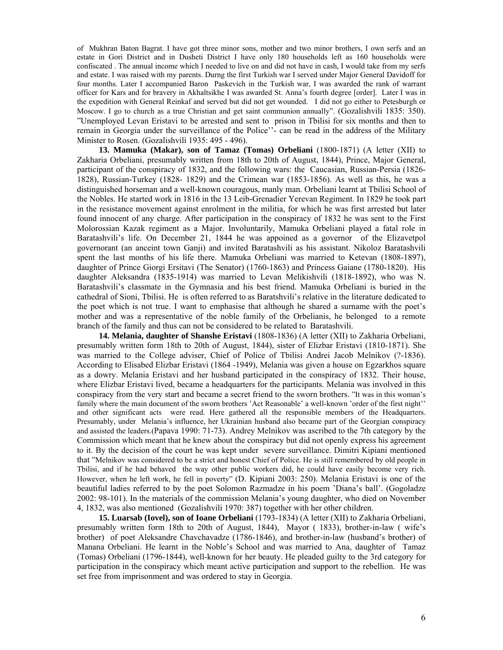of Mukhran Baton Bagrat. I have got three minor sons, mother and two minor brothers, I own serfs and an estate in Gori District and in Dusheti District I have only 180 households left as 160 households were confiscated . The annual income which I needed to live on and did not have in cash, I would take from my serfs and estate. I was raised with my parents. Durng the first Turkish war I served under Major General Davidoff for four months. Later I accompanied Baron Paskevich in the Turkish war, I was awarded the rank of warrant officer for Kars and for bravery in Akhaltsikhe I was awarded St. Anna's fourth degree [order]. Later I was in the expedition with General Reinkaf and served but did not get wounded. I did not go either to Petesburgh or Moscow. I go to church as a true Christian and get saint communion annually". (Gozalishvili 1835: 350). "Unemployed Levan Eristavi to be arrested and sent to prison in Tbilisi for six months and then to remain in Georgia under the surveillance of the Police''- can be read in the address of the Military Minister to Rosen. (Gozalishvili 1935: 495 - 496).

**13. Mamuka (Makar), son of Tamaz (Tomas) Orbeliani** (1800-1871) (A letter (XII) to Zakharia Orbeliani, presumably written from 18th to 20th of August, 1844), Prince, Major General, participant of the conspiracy of 1832, and the following wars: the Caucasian, Russian-Persia (1826- 1828), Russian-Turkey (1828- 1829) and the Crimean war (1853-1856). As well as this, he was a distinguished horseman and a well-known couragous, manly man. Orbeliani learnt at Tbilisi School of the Nobles. He started work in 1816 in the 13 Leib-Grenadier Yerevan Regiment. In 1829 he took part in the resistance movement against enrolment in the militia, for which he was first arrested but later found innocent of any charge. After participation in the conspiracy of 1832 he was sent to the First Molorossian Kazak regiment as a Major. Involuntarily, Mamuka Orbeliani played a fatal role in Baratashvili's life. On December 21, 1844 he was appoined as a governor of the Elizavetpol governorant (an anceint town Ganji) and invited Baratashvili as his assistant. Nikoloz Baratashvili spent the last months of his life there. Mamuka Orbeliani was married to Ketevan (1808-1897), daughter of Prince Giorgi Ersitavi (The Senator) (1760-1863) and Princess Gaiane (1780-1820). His daughter Aleksandra (1835-1914) was married to Levan Melikishvili (1818-1892), who was N. Baratashvili's classmate in the Gymnasia and his best friend. Mamuka Orbeliani is buried in the cathedral of Sioni, Tbilisi. He is often referred to as Baratshvili's relative in the literature dedicated to the poet which is not true. I want to emphasise that although he shared a surname with the poet's mother and was a representative of the noble family of the Orbelianis, he belonged to a remote branch of the family and thus can not be considered to be related to Baratashvili.

**14. Melania, daughter of Shanshe Eristavi** (1808-1836) (A letter (XII) to Zakharia Orbeliani, presumably written form 18th to 20th of August, 1844), sister of Elizbar Eristavi (1810-1871). She was married to the College adviser, Chief of Police of Tbilisi Andrei Jacob Melnikov (?-1836). According to Elisabed Elizbar Eristavi (1864 -1949), Melania was given a house on Egzarkhos square as a dowry. Melania Eristavi and her husband participated in the conspiracy of 1832. Their house, where Elizbar Eristavi lived, became a headquarters for the participants. Melania was involved in this conspiracy from the very start and became a secret friend to the sworn brothers. "It was in this woman's family where the main document of the sworn brothers 'Act Reasonable' a well-known 'order of the first night'' and other significant acts were read. Here gathered all the responsible members of the Headquarters. Presumably, under Melania's influence, her Ukrainian husband also became part of the Georgian conspiracy and assisted the leaders.(Papava 1990: 71-73). Andrey Melnikov was ascribed to the 7th category by the Commission which meant that he knew about the conspiracy but did not openly express his agreement to it. By the decision of the court he was kept under severe surveillance. Dimitri Kipiani mentioned that "Melnikov was considered to be a strict and honest Chief of Police. He is still remembered by old people in Tbilisi, and if he had behaved the way other public workers did, he could have easily become very rich. However, when he left work, he fell in poverty" (D. Kipiani 2003: 250). Melania Eristavi is one of the beautiful ladies referred to by the poet Solomon Razmadze in his poem 'Diana's ball'. (Gogoladze 2002: 98-101). In the materials of the commission Melania's young daughter, who died on November 4, 1832, was also mentioned (Gozalishvili 1970: 387) together with her other children.

**15. Luarsab (Iovel), son of Ioane Orbeliani** (1793-1834) (A letter (XII) to Zakharia Orbeliani, presumably written form 18th to 20th of August, 1844), Mayor ( 1833), brother-in-law ( wife's brother) of poet Aleksandre Chavchavadze (1786-1846), and brother-in-law (husband's brother) of Manana Orbeliani. He learnt in the Noble's School and was married to Ana, daughter of Tamaz (Tomas) Orbeliani (1796-1844), well-known for her beauty. He pleaded guilty to the 3rd category for participation in the conspiracy which meant active participation and support to the rebellion. He was set free from imprisonment and was ordered to stay in Georgia.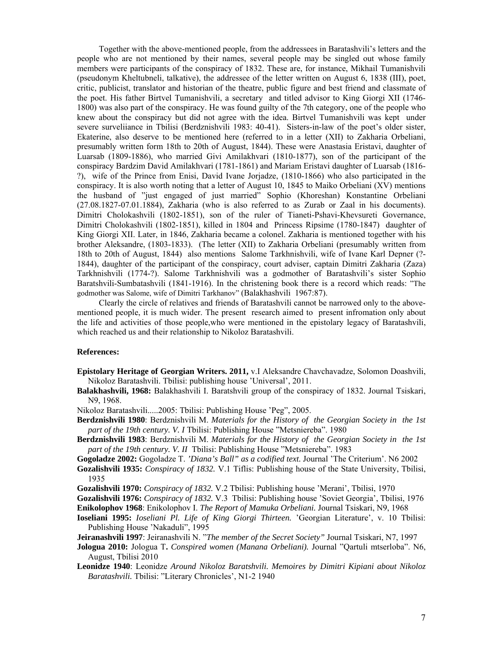Together with the above-mentioned people, from the addressees in Baratashvili's letters and the people who are not mentioned by their names, several people may be singled out whose family members were participants of the conspiracy of 1832. These are, for instance, Mikhail Tumanishvili (pseudonym Kheltubneli, talkative), the addressee of the letter written on August 6, 1838 (III), poet, critic, publicist, translator and historian of the theatre, public figure and best friend and classmate of the poet. His father Birtvel Tumanishvili, a secretary and titled advisor to King Giorgi XII (1746- 1800) was also part of the conspiracy. He was found guilty of the 7th category, one of the people who knew about the conspiracy but did not agree with the idea. Birtvel Tumanishvili was kept under severe surveliiance in Tbilisi (Berdznishvili 1983: 40-41). Sisters-in-law of the poet's older sister, Ekaterine, also deserve to be mentioned here (referred to in a letter (XII) to Zakharia Orbeliani, presumably written form 18th to 20th of August, 1844). These were Anastasia Eristavi, daughter of Luarsab (1809-1886), who married Givi Amilakhvari (1810-1877), son of the participant of the conspiracy Bardzim David Amilakhvari (1781-1861) and Mariam Eristavi daughter of Luarsab (1816- ?), wife of the Prince from Enisi, David Ivane Jorjadze, (1810-1866) who also participated in the conspiracy. It is also worth noting that a letter of August 10, 1845 to Maiko Orbeliani (XV) mentions the husband of "just engaged of just married" Sophio (Khoreshan) Konstantine Orbeliani (27.08.1827-07.01.1884), Zakharia (who is also referred to as Zurab or Zaal in his documents). Dimitri Cholokashvili (1802-1851), son of the ruler of Tianeti-Pshavi-Khevsureti Governance, Dimitri Cholokashvili (1802-1851), killed in 1804 and Princess Ripsime (1780-1847) daughter of King Giorgi XII. Later, in 1846, Zakharia became a colonel. Zakharia is mentioned together with his brother Aleksandre, (1803-1833). (The letter (XII) to Zakharia Orbeliani (presumably written from 18th to 20th of August, 1844) also mentions Salome Tarkhnishvili, wife of Ivane Karl Depner (?- 1844), daughter of the participant of the conspiracy, court adviser, captain Dimitri Zakharia (Zaza) Tarkhnishvili (1774-?). Salome Tarkhnishvili was a godmother of Baratashvili's sister Sophio Baratshvili-Sumbatashvili (1841-1916). In the christening book there is a record which reads: "The godmother was Salome, wife of Dimitri Tarkhanov" (Balakhashvili 1967:87).

Clearly the circle of relatives and friends of Baratashvili cannot be narrowed only to the abovementioned people, it is much wider. The present research aimed to present infromation only about the life and activities of those people,who were mentioned in the epistolary legacy of Baratashvili, which reached us and their relationship to Nikoloz Baratashvili.

## **References:**

- **Epistolary Heritage of Georgian Writers. 2011,** v.I Aleksandre Chavchavadze, Solomon Doashvili, Nikoloz Baratashvili. Tbilisi: publishing house 'Universal', 2011.
- **Balakhashvili, 1968:** Balakhashvili I. Baratshvili group of the conspiracy of 1832. Journal Tsiskari, N9, 1968.
- Nikoloz Baratashvili.....2005: Tbilisi: Publishing House 'Peg", 2005.
- **Berdznishvili 1980**: Berdznishvili M. *Materials for the History of the Georgian Society in the 1st part of the 19th century. V. I Tbilisi: Publishing House "Metsniereba".* 1980
- **Berdznishvili 1983**: Berdznishvili M. *Materials for the History of the Georgian Society in the 1st part of the 19th century. V. II* Tbilisi: Publishing House "Metsniereba". 1983
- **Gogoladze 2002:** Gogoladze T. *'Diana's Ball" as a codified text.* Journal 'The Criterium'. N6 2002
- **Gozalishvili 1935:** *Conspiracy of 1832.* V.1 Tiflis: Publishing house of the State University, Tbilisi, 1935
- **Gozalishvili 1970:** *Conspiracy of 1832.* V.2 Tbilisi: Publishing house 'Merani', Tbilisi, 1970
- **Gozalishvili 1976:** *Conspiracy of 1832.* V.3 Tbilisi: Publishing house 'Soviet Georgia', Tbilisi, 1976
- **Enikolophov 1968**: Enikolophov I. *The Report of Mamuka Orbeliani.* Journal Tsiskari, N9, 1968
- **Ioseliani 1995:** *Ioseliani Pl. Life of King Giorgi Thirteen.* 'Georgian Literature', v. 10 Tbilisi: Publishing House 'Nakaduli", 1995
- **Jeiranashvili 1997**: Jeiranashvili N. "*The member of the Secret Society"* Journal Tsiskari, N7, 1997
- **Jologua 2010:** Jologua T**.** *Conspired women (Manana Orbeliani).* Journal "Qartuli mtserloba". N6, August, Tbilisi 2010
- **Leonidze 1940**: Leonidze *Around Nikoloz Baratshvili. Memoires by Dimitri Kipiani about Nikoloz Baratashvili.* Tbilisi: "Literary Chronicles', N1-2 1940